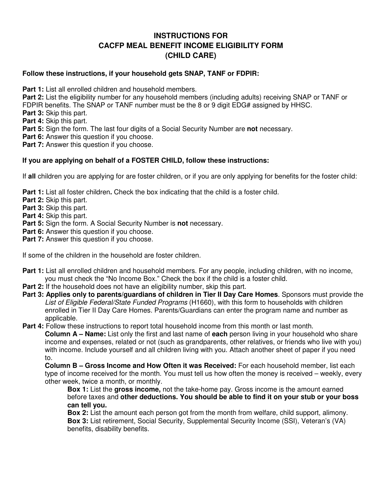### **INSTRUCTIONS FOR CACFP MEAL BENEFIT INCOME ELIGIBILITY FORM (CHILD CARE)**

#### **Follow these instructions, if your household gets SNAP, TANF or FDPIR:**

**Part 1:** List all enrolled children and household members.

**Part 2:** List the eligibility number for any household members (including adults) receiving SNAP or TANF or FDPIR benefits. The SNAP or TANF number must be the 8 or 9 digit EDG# assigned by HHSC.

**Part 3:** Skip this part.

**Part 4:** Skip this part.

**Part 5:** Sign the form. The last four digits of a Social Security Number are **not** necessary.

**Part 6:** Answer this question if you choose.

**Part 7:** Answer this question if you choose.

#### **If you are applying on behalf of a FOSTER CHILD, follow these instructions:**

If **all** children you are applying for are foster children, or if you are only applying for benefits for the foster child:

**Part 1:** List all foster children. Check the box indicating that the child is a foster child.

**Part 2:** Skip this part.

**Part 3:** Skip this part.

**Part 4:** Skip this part.

**Part 5:** Sign the form. A Social Security Number is **not** necessary.

**Part 6:** Answer this question if you choose.

**Part 7:** Answer this question if you choose.

If some of the children in the household are foster children.

- Part 1: List all enrolled children and household members. For any people, including children, with no income, you must check the "No Income Box." Check the box if the child is a foster child.
- **Part 2:** If the household does not have an eligibility number, skip this part.
- **Part 3: Applies only to parents/guardians of children in Tier II Day Care Homes**. Sponsors must provide the List of Eligible Federal/State Funded Programs (H1660), with this form to households with children enrolled in Tier II Day Care Homes. Parents/Guardians can enter the program name and number as applicable.

**Part 4:** Follow these instructions to report total household income from this month or last month.

**Column A – Name:** List only the first and last name of **each** person living in your household who share income and expenses, related or not (such as grandparents, other relatives, or friends who live with you) with income. Include yourself and all children living with you. Attach another sheet of paper if you need to.

**Column B – Gross Income and How Often it was Received:** For each household member, list each type of income received for the month. You must tell us how often the money is received – weekly, every other week, twice a month, or monthly.

**Box 1:** List the **gross income,** not the take-home pay. Gross income is the amount earned before taxes and **other deductions. You should be able to find it on your stub or your boss can tell you.** 

**Box 2:** List the amount each person got from the month from welfare, child support, alimony. **Box 3:** List retirement, Social Security, Supplemental Security Income (SSI), Veteran's (VA) benefits, disability benefits.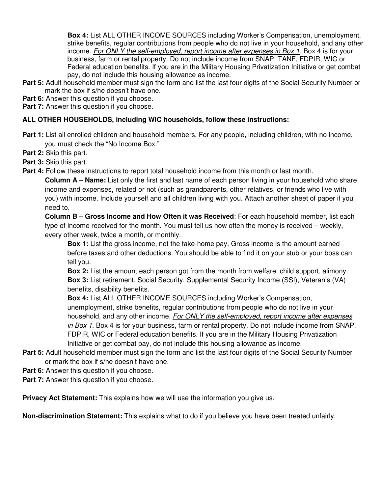**Box 4:** List ALL OTHER INCOME SOURCES including Worker's Compensation, unemployment, strike benefits, regular contributions from people who do not live in your household, and any other income. For ONLY the self-employed, report income after expenses in Box 1. Box 4 is for your business, farm or rental property. Do not include income from SNAP, TANF, FDPIR, WIC or Federal education benefits. If you are in the Military Housing Privatization Initiative or get combat pay, do not include this housing allowance as income.

- **Part 5:** Adult household member must sign the form and list the last four digits of the Social Security Number or mark the box if s/he doesn't have one.
- **Part 6:** Answer this question if you choose.

**Part 7:** Answer this question if you choose.

#### **ALL OTHER HOUSEHOLDS, including WIC households, follow these instructions:**

- **Part 1:** List all enrolled children and household members. For any people, including children, with no income, you must check the "No Income Box."
- **Part 2:** Skip this part.
- **Part 3:** Skip this part.
- **Part 4:** Follow these instructions to report total household income from this month or last month.

**Column A – Name:** List only the first and last name of each person living in your household who share income and expenses, related or not (such as grandparents, other relatives, or friends who live with you) with income. Include yourself and all children living with you. Attach another sheet of paper if you need to.

**Column B – Gross Income and How Often it was Received**: For each household member, list each type of income received for the month. You must tell us how often the money is received – weekly, every other week, twice a month, or monthly.

**Box 1:** List the gross income, not the take-home pay. Gross income is the amount earned before taxes and other deductions. You should be able to find it on your stub or your boss can tell you.

**Box 2:** List the amount each person got from the month from welfare, child support, alimony. **Box 3:** List retirement, Social Security, Supplemental Security Income (SSI), Veteran's (VA) benefits, disability benefits.

**Box 4:** List ALL OTHER INCOME SOURCES including Worker's Compensation, unemployment, strike benefits, regular contributions from people who do not live in your household, and any other income. For ONLY the self-employed, report income after expenses in Box 1. Box 4 is for your business, farm or rental property. Do not include income from SNAP, FDPIR, WIC or Federal education benefits. If you are in the Military Housing Privatization Initiative or get combat pay, do not include this housing allowance as income.

- **Part 5:** Adult household member must sign the form and list the last four digits of the Social Security Number or mark the box if s/he doesn't have one.
- **Part 6:** Answer this question if you choose.
- **Part 7:** Answer this question if you choose.

**Privacy Act Statement:** This explains how we will use the information you give us.

**Non-discrimination Statement:** This explains what to do if you believe you have been treated unfairly.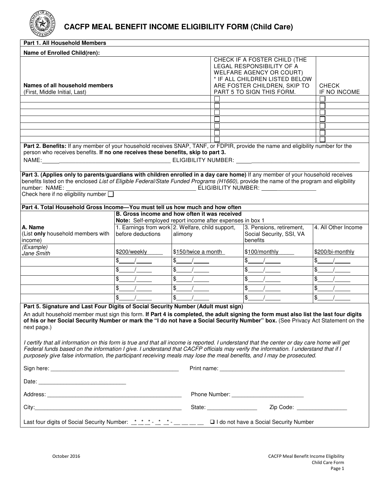

# **CACFP MEAL BENEFIT INCOME ELIGIBILITY FORM (Child Care)**

| Part 1. All Household Members                                                                                                                                                                                                                                                                                                                                                                                |                                                                       |                     |                                                           |                                                                                                                                |                     |  |
|--------------------------------------------------------------------------------------------------------------------------------------------------------------------------------------------------------------------------------------------------------------------------------------------------------------------------------------------------------------------------------------------------------------|-----------------------------------------------------------------------|---------------------|-----------------------------------------------------------|--------------------------------------------------------------------------------------------------------------------------------|---------------------|--|
| Name of Enrolled Child(ren):                                                                                                                                                                                                                                                                                                                                                                                 |                                                                       |                     |                                                           |                                                                                                                                |                     |  |
|                                                                                                                                                                                                                                                                                                                                                                                                              |                                                                       |                     |                                                           | CHECK IF A FOSTER CHILD (THE<br>LEGAL RESPONSIBILITY OF A<br><b>WELFARE AGENCY OR COURT)</b><br>* IF ALL CHILDREN LISTED BELOW |                     |  |
| Names of all household members                                                                                                                                                                                                                                                                                                                                                                               |                                                                       |                     | ARE FOSTER CHILDREN, SKIP TO<br>PART 5 TO SIGN THIS FORM. | <b>CHECK</b><br>IF NO INCOME                                                                                                   |                     |  |
| (First, Middle Initial, Last)                                                                                                                                                                                                                                                                                                                                                                                |                                                                       |                     |                                                           |                                                                                                                                |                     |  |
|                                                                                                                                                                                                                                                                                                                                                                                                              |                                                                       |                     |                                                           |                                                                                                                                |                     |  |
|                                                                                                                                                                                                                                                                                                                                                                                                              |                                                                       |                     |                                                           |                                                                                                                                |                     |  |
|                                                                                                                                                                                                                                                                                                                                                                                                              |                                                                       |                     |                                                           |                                                                                                                                |                     |  |
|                                                                                                                                                                                                                                                                                                                                                                                                              |                                                                       |                     |                                                           |                                                                                                                                |                     |  |
|                                                                                                                                                                                                                                                                                                                                                                                                              |                                                                       |                     |                                                           |                                                                                                                                |                     |  |
| Part 2. Benefits: If any member of your household receives SNAP, TANF, or FDPIR, provide the name and eligibility number for the<br>person who receives benefits. If no one receives these benefits, skip to part 3.                                                                                                                                                                                         |                                                                       |                     |                                                           |                                                                                                                                |                     |  |
| Part 3. (Applies only to parents/guardians with children enrolled in a day care home) If any member of your household receives<br>benefits listed on the enclosed List of Eligible Federal/State Funded Programs (H1660), provide the name of the program and eligibility<br>number: NAME:<br>Check here if no eligibility number $\square$                                                                  |                                                                       |                     |                                                           |                                                                                                                                |                     |  |
| Part 4. Total Household Gross Income-You must tell us how much and how often                                                                                                                                                                                                                                                                                                                                 |                                                                       |                     |                                                           |                                                                                                                                |                     |  |
| B. Gross income and how often it was received<br>Note: Self-employed report income after expenses in box 1                                                                                                                                                                                                                                                                                                   |                                                                       |                     |                                                           |                                                                                                                                |                     |  |
| A. Name<br>(List only household members with<br>income)                                                                                                                                                                                                                                                                                                                                                      | 1. Earnings from work 2. Welfare, child support,<br>before deductions | alimony             |                                                           | 3. Pensions, retirement,<br>Social Security, SSI, VA<br>benefits                                                               | 4. All Other Income |  |
| (Example)<br>Jane Smith                                                                                                                                                                                                                                                                                                                                                                                      | \$200/weekly                                                          | \$150/twice a month |                                                           | \$100/monthly                                                                                                                  | \$200/bi-monthly    |  |
|                                                                                                                                                                                                                                                                                                                                                                                                              | \$                                                                    | \$                  |                                                           | \$                                                                                                                             |                     |  |
|                                                                                                                                                                                                                                                                                                                                                                                                              | \$.                                                                   | \$                  |                                                           | \$.                                                                                                                            | \$.                 |  |
|                                                                                                                                                                                                                                                                                                                                                                                                              | \$                                                                    | \$                  |                                                           | \$                                                                                                                             |                     |  |
|                                                                                                                                                                                                                                                                                                                                                                                                              | \$                                                                    | \$                  |                                                           | \$                                                                                                                             | \$.                 |  |
|                                                                                                                                                                                                                                                                                                                                                                                                              | \$                                                                    | \$                  |                                                           | \$                                                                                                                             | \$                  |  |
| Part 5. Signature and Last Four Digits of Social Security Number (Adult must sign)<br>An adult household member must sign this form. If Part 4 is completed, the adult signing the form must also list the last four digits<br>of his or her Social Security Number or mark the "I do not have a Social Security Number" box. (See Privacy Act Statement on the<br>next page.)                               |                                                                       |                     |                                                           |                                                                                                                                |                     |  |
| I certify that all information on this form is true and that all income is reported. I understand that the center or day care home will get<br>Federal funds based on the information I give. I understand that CACFP officials may verify the information. I understand that if I<br>purposely give false information, the participant receiving meals may lose the meal benefits, and I may be prosecuted. |                                                                       |                     |                                                           |                                                                                                                                |                     |  |
|                                                                                                                                                                                                                                                                                                                                                                                                              |                                                                       |                     |                                                           |                                                                                                                                |                     |  |
|                                                                                                                                                                                                                                                                                                                                                                                                              |                                                                       |                     |                                                           |                                                                                                                                |                     |  |
|                                                                                                                                                                                                                                                                                                                                                                                                              |                                                                       |                     |                                                           |                                                                                                                                |                     |  |
| City: <u>City: Executive Communication</u>                                                                                                                                                                                                                                                                                                                                                                   |                                                                       |                     |                                                           |                                                                                                                                |                     |  |
| Last four digits of Social Security Number: $\frac{1}{n} + \frac{1}{n} + \frac{1}{n} - \frac{1}{n} - \frac{1}{n} - \frac{1}{n} - \frac{1}{n}$ I do not have a Social Security Number                                                                                                                                                                                                                         |                                                                       |                     |                                                           |                                                                                                                                |                     |  |